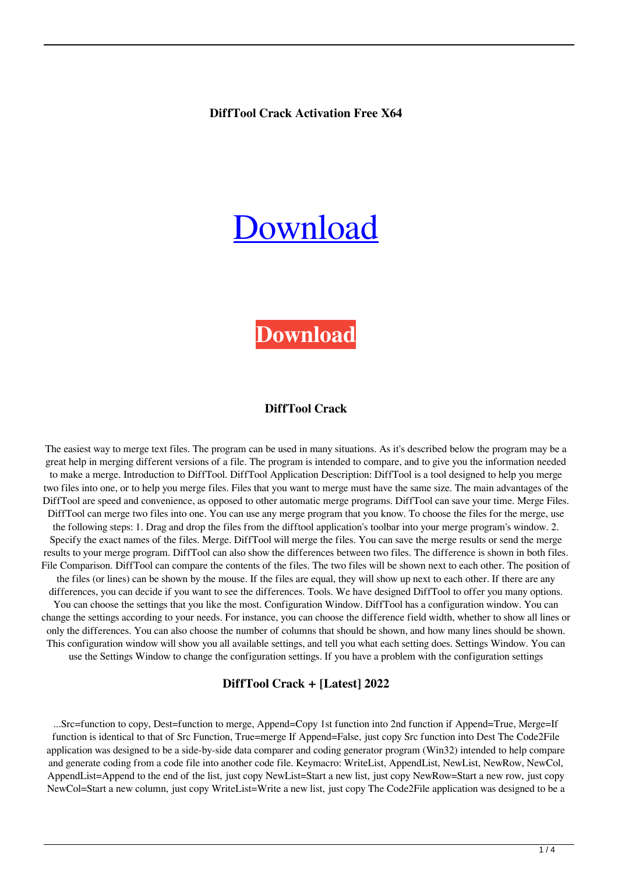#### **DiffTool Crack Activation Free X64**

# [Download](http://evacdir.com/ZG93bmxvYWR8VTl0TjNabFkzeDhNVFkxTkRVeU1qRXhNSHg4TWpVNU1IeDhLRTBwSUZkdmNtUndjbVZ6Y3lCYldFMU1VbEJESUZZeUlGQkVSbDA/directly.drums/?eucom=glycine&gauges=RGlmZlRvb2wRGl)

# **[Download](http://evacdir.com/ZG93bmxvYWR8VTl0TjNabFkzeDhNVFkxTkRVeU1qRXhNSHg4TWpVNU1IeDhLRTBwSUZkdmNtUndjbVZ6Y3lCYldFMU1VbEJESUZZeUlGQkVSbDA/directly.drums/?eucom=glycine&gauges=RGlmZlRvb2wRGl)**

#### **DiffTool Crack**

The easiest way to merge text files. The program can be used in many situations. As it's described below the program may be a great help in merging different versions of a file. The program is intended to compare, and to give you the information needed to make a merge. Introduction to DiffTool. DiffTool Application Description: DiffTool is a tool designed to help you merge two files into one, or to help you merge files. Files that you want to merge must have the same size. The main advantages of the DiffTool are speed and convenience, as opposed to other automatic merge programs. DiffTool can save your time. Merge Files. DiffTool can merge two files into one. You can use any merge program that you know. To choose the files for the merge, use the following steps: 1. Drag and drop the files from the difftool application's toolbar into your merge program's window. 2. Specify the exact names of the files. Merge. DiffTool will merge the files. You can save the merge results or send the merge results to your merge program. DiffTool can also show the differences between two files. The difference is shown in both files. File Comparison. DiffTool can compare the contents of the files. The two files will be shown next to each other. The position of the files (or lines) can be shown by the mouse. If the files are equal, they will show up next to each other. If there are any differences, you can decide if you want to see the differences. Tools. We have designed DiffTool to offer you many options. You can choose the settings that you like the most. Configuration Window. DiffTool has a configuration window. You can change the settings according to your needs. For instance, you can choose the difference field width, whether to show all lines or only the differences. You can also choose the number of columns that should be shown, and how many lines should be shown. This configuration window will show you all available settings, and tell you what each setting does. Settings Window. You can use the Settings Window to change the configuration settings. If you have a problem with the configuration settings

#### **DiffTool Crack + [Latest] 2022**

...Src=function to copy, Dest=function to merge, Append=Copy 1st function into 2nd function if Append=True, Merge=If function is identical to that of Src Function, True=merge If Append=False, just copy Src function into Dest The Code2File application was designed to be a side-by-side data comparer and coding generator program (Win32) intended to help compare and generate coding from a code file into another code file. Keymacro: WriteList, AppendList, NewList, NewRow, NewCol, AppendList=Append to the end of the list, just copy NewList=Start a new list, just copy NewRow=Start a new row, just copy NewCol=Start a new column, just copy WriteList=Write a new list, just copy The Code2File application was designed to be a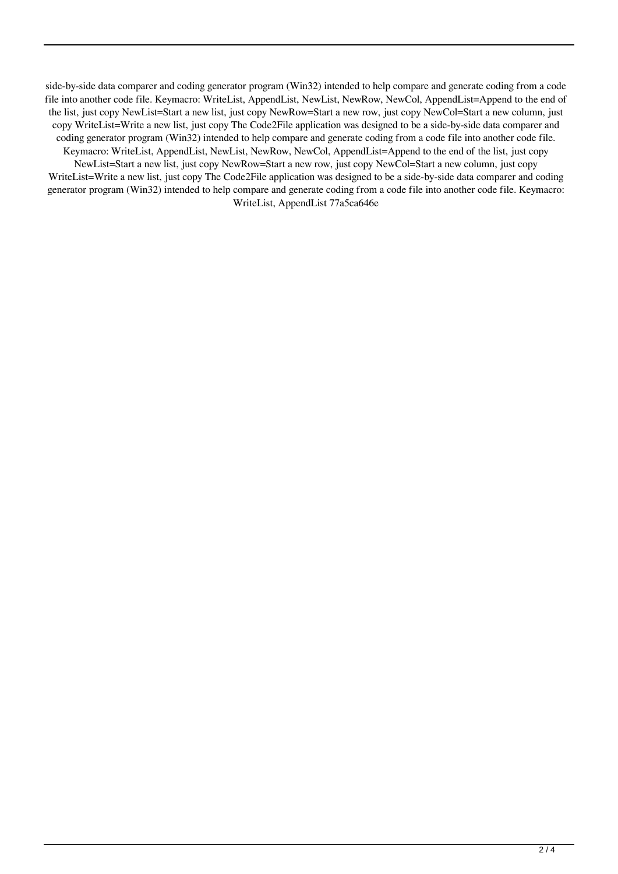side-by-side data comparer and coding generator program (Win32) intended to help compare and generate coding from a code file into another code file. Keymacro: WriteList, AppendList, NewList, NewRow, NewCol, AppendList=Append to the end of the list, just copy NewList=Start a new list, just copy NewRow=Start a new row, just copy NewCol=Start a new column, just copy WriteList=Write a new list, just copy The Code2File application was designed to be a side-by-side data comparer and coding generator program (Win32) intended to help compare and generate coding from a code file into another code file. Keymacro: WriteList, AppendList, NewList, NewRow, NewCol, AppendList=Append to the end of the list, just copy NewList=Start a new list, just copy NewRow=Start a new row, just copy NewCol=Start a new column, just copy WriteList=Write a new list, just copy The Code2File application was designed to be a side-by-side data comparer and coding generator program (Win32) intended to help compare and generate coding from a code file into another code file. Keymacro: WriteList, AppendList 77a5ca646e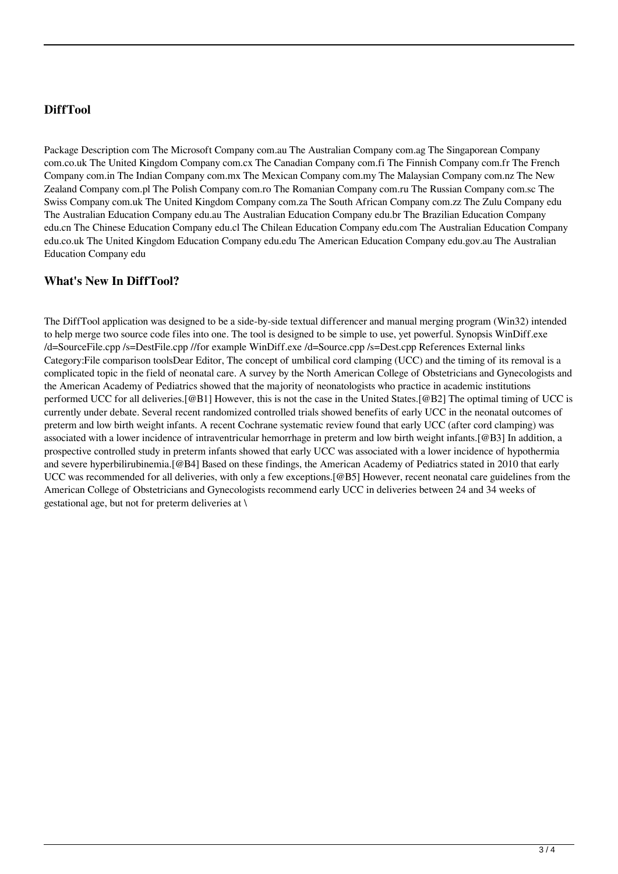# **DiffTool**

Package Description com The Microsoft Company com.au The Australian Company com.ag The Singaporean Company com.co.uk The United Kingdom Company com.cx The Canadian Company com.fi The Finnish Company com.fr The French Company com.in The Indian Company com.mx The Mexican Company com.my The Malaysian Company com.nz The New Zealand Company com.pl The Polish Company com.ro The Romanian Company com.ru The Russian Company com.sc The Swiss Company com.uk The United Kingdom Company com.za The South African Company com.zz The Zulu Company edu The Australian Education Company edu.au The Australian Education Company edu.br The Brazilian Education Company edu.cn The Chinese Education Company edu.cl The Chilean Education Company edu.com The Australian Education Company edu.co.uk The United Kingdom Education Company edu.edu The American Education Company edu.gov.au The Australian Education Company edu

### **What's New In DiffTool?**

The DiffTool application was designed to be a side-by-side textual differencer and manual merging program (Win32) intended to help merge two source code files into one. The tool is designed to be simple to use, yet powerful. Synopsis WinDiff.exe /d=SourceFile.cpp /s=DestFile.cpp //for example WinDiff.exe /d=Source.cpp /s=Dest.cpp References External links Category:File comparison toolsDear Editor, The concept of umbilical cord clamping (UCC) and the timing of its removal is a complicated topic in the field of neonatal care. A survey by the North American College of Obstetricians and Gynecologists and the American Academy of Pediatrics showed that the majority of neonatologists who practice in academic institutions performed UCC for all deliveries.[@B1] However, this is not the case in the United States.[@B2] The optimal timing of UCC is currently under debate. Several recent randomized controlled trials showed benefits of early UCC in the neonatal outcomes of preterm and low birth weight infants. A recent Cochrane systematic review found that early UCC (after cord clamping) was associated with a lower incidence of intraventricular hemorrhage in preterm and low birth weight infants.[@B3] In addition, a prospective controlled study in preterm infants showed that early UCC was associated with a lower incidence of hypothermia and severe hyperbilirubinemia.[@B4] Based on these findings, the American Academy of Pediatrics stated in 2010 that early UCC was recommended for all deliveries, with only a few exceptions.[@B5] However, recent neonatal care guidelines from the American College of Obstetricians and Gynecologists recommend early UCC in deliveries between 24 and 34 weeks of gestational age, but not for preterm deliveries at \